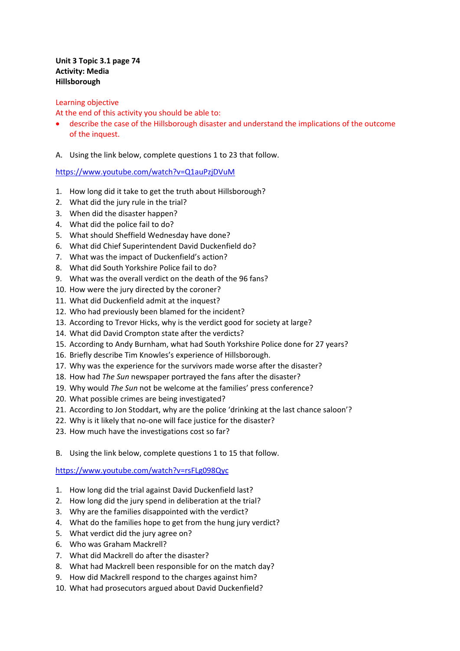## **Unit 3 Topic 3.1 page 74 Activity: Media Hillsborough**

## Learning objective

At the end of this activity you should be able to:

- describe the case of the Hillsborough disaster and understand the implications of the outcome of the inquest.
- A. Using the link below, complete questions 1 to 23 that follow.

https://www.youtube.com/watch?v=Q1auPzjDVuM

- 1. How long did it take to get the truth about Hillsborough?
- 2. What did the jury rule in the trial?
- 3. When did the disaster happen?
- 4. What did the police fail to do?
- 5. What should Sheffield Wednesday have done?
- 6. What did Chief Superintendent David Duckenfield do?
- 7. What was the impact of Duckenfield's action?
- 8. What did South Yorkshire Police fail to do?
- 9. What was the overall verdict on the death of the 96 fans?
- 10. How were the jury directed by the coroner?
- 11. What did Duckenfield admit at the inquest?
- 12. Who had previously been blamed for the incident?
- 13. According to Trevor Hicks, why is the verdict good for society at large?
- 14. What did David Crompton state after the verdicts?
- 15. According to Andy Burnham, what had South Yorkshire Police done for 27 years?
- 16. Briefly describe Tim Knowles's experience of Hillsborough.
- 17. Why was the experience for the survivors made worse after the disaster?
- 18. How had *The Sun* newspaper portrayed the fans after the disaster?
- 19. Why would *The Sun* not be welcome at the families' press conference?
- 20. What possible crimes are being investigated?
- 21. According to Jon Stoddart, why are the police 'drinking at the last chance saloon'?
- 22. Why is it likely that no-one will face justice for the disaster?
- 23. How much have the investigations cost so far?
- B. Using the link below, complete questions 1 to 15 that follow.

https://www.youtube.com/watch?v=rsFLg098Qyc

- 1. How long did the trial against David Duckenfield last?
- 2. How long did the jury spend in deliberation at the trial?
- 3. Why are the families disappointed with the verdict?
- 4. What do the families hope to get from the hung jury verdict?
- 5. What verdict did the jury agree on?
- 6. Who was Graham Mackrell?
- 7. What did Mackrell do after the disaster?
- 8. What had Mackrell been responsible for on the match day?
- 9. How did Mackrell respond to the charges against him?
- 10. What had prosecutors argued about David Duckenfield?